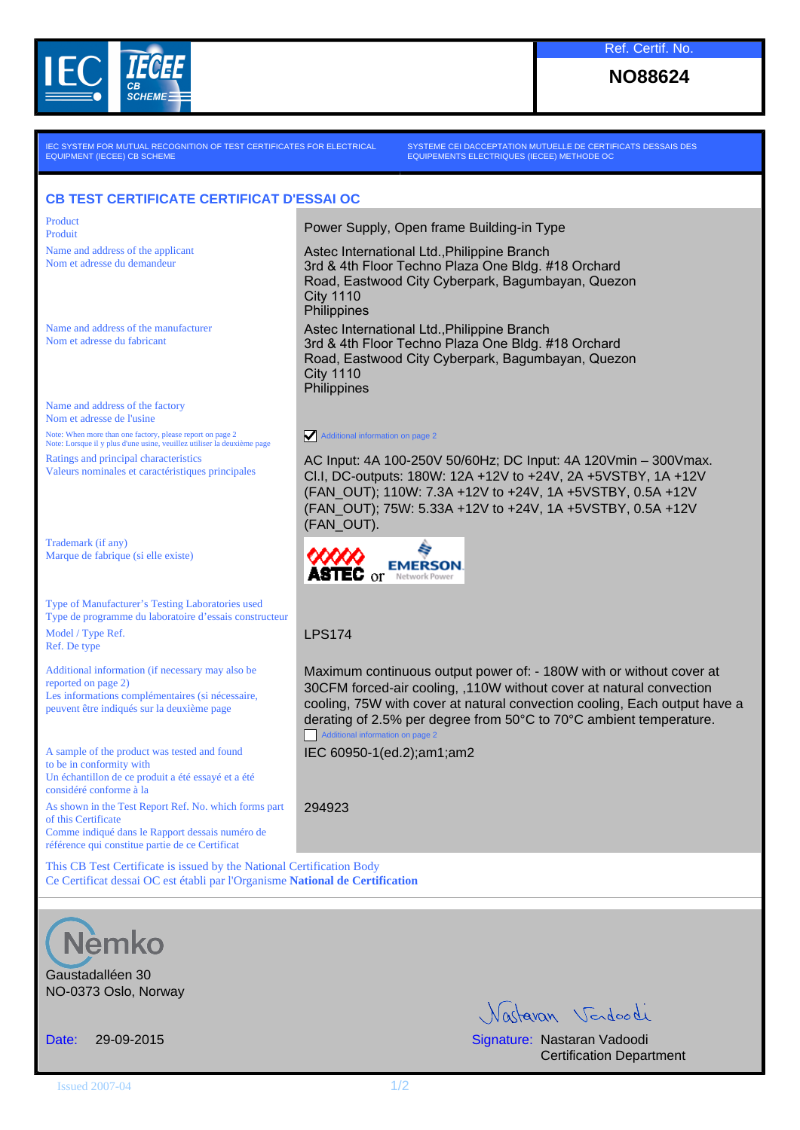

**NO88624**

IEC SYSTEM FOR MUTUAL RECOGNITION OF TEST CERTIFICATES FOR ELECTRICAL EQUIPMENT (IECEE) CB SCHEME

SYSTEME CEI DACCEPTATION MUTUELLE DE CERTIFICATS DESSAIS DES EQUIPEMENTS ELECTRIQUES (IECEE) METHODE OC

Astec International Ltd.,Philippine Branch

Astec International Ltd.,Philippine Branch

City 1110 **Philippines** 

City 1110 **Philippines** 

(FAN\_OUT).

Additional information on page 2

**ASTEC** OF **NetWork Power** 

3rd & 4th Floor Techno Plaza One Bldg. #18 Orchard Road, Eastwood City Cyberpark, Bagumbayan, Quezon

3rd & 4th Floor Techno Plaza One Bldg. #18 Orchard Road, Eastwood City Cyberpark, Bagumbayan, Quezon

AC Input: 4A 100-250V 50/60Hz; DC Input: 4A 120Vmin – 300Vmax. Cl.I, DC-outputs: 180W: 12A +12V to +24V, 2A +5VSTBY, 1A +12V (FAN\_OUT); 110W: 7.3A +12V to +24V, 1A +5VSTBY, 0.5A +12V (FAN\_OUT); 75W: 5.33A +12V to +24V, 1A +5VSTBY, 0.5A +12V

Maximum continuous output power of: - 180W with or without cover at 30CFM forced-air cooling, ,110W without cover at natural convection cooling, 75W with cover at natural convection cooling, Each output have a derating of 2.5% per degree from 50°C to 70°C ambient temperature.

## **CB TEST CERTIFICATE CERTIFICAT D'ESSAI OC**

Product Product Product **Product** Power Supply, Open frame Building-in Type

Name and address of the applicant Nom et adresse du demandeur

Name and address of the manufacturer Nom et adresse du fabricant

Name and address of the factory Nom et adresse de l'usine Note: When more than one factory, please report on page 2 Note: Lorsque il y plus d'une usine, veuillez utiliser la deuxième page Ratings and principal characteristics Valeurs nominales et caractéristiques principales

Trademark (if any) Marque de fabrique (si elle existe)

Type of Manufacturer's Testing Laboratories used Type de programme du laboratoire d'essais constructeur Model / Type Ref. Ref. De type

Additional information (if necessary may also be reported on page 2) Les informations complémentaires (si nécessaire, peuvent être indiqués sur la deuxième page

A sample of the product was tested and found to be in conformity with Un échantillon de ce produit a été essayé et a été considéré conforme à la As shown in the Test Report Ref. No. which forms part of this Certificate Comme indiqué dans le Rapport dessais numéro de référence qui constitue partie de ce Certificat

IEC 60950-1(ed.2);am1;am2

Additional information on page 2

LPS174

294923

This CB Test Certificate is issued by the National Certification Body Ce Certificat dessai OC est établi par l'Organisme **National de Certification**



Gaustadalléen 30 NO-0373 Oslo, Norway

Vartavan Verdoodi

Date: 29-09-2015 Signature: Nastaran Vadoodi Certification Department